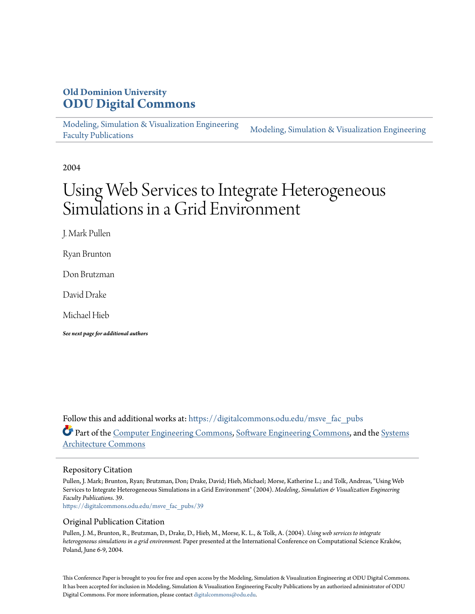# **Old Dominion University [ODU Digital Commons](https://digitalcommons.odu.edu?utm_source=digitalcommons.odu.edu%2Fmsve_fac_pubs%2F39&utm_medium=PDF&utm_campaign=PDFCoverPages)**

[Modeling, Simulation & Visualization Engineering](https://digitalcommons.odu.edu/msve_fac_pubs?utm_source=digitalcommons.odu.edu%2Fmsve_fac_pubs%2F39&utm_medium=PDF&utm_campaign=PDFCoverPages) [Faculty Publications](https://digitalcommons.odu.edu/msve_fac_pubs?utm_source=digitalcommons.odu.edu%2Fmsve_fac_pubs%2F39&utm_medium=PDF&utm_campaign=PDFCoverPages)

[Modeling, Simulation & Visualization Engineering](https://digitalcommons.odu.edu/msve?utm_source=digitalcommons.odu.edu%2Fmsve_fac_pubs%2F39&utm_medium=PDF&utm_campaign=PDFCoverPages)

2004

# Using Web Services to Integrate Heterogeneous Simulations in a Grid Environment

J. Mark Pullen

Ryan Brunton

Don Brutzman

David Drake

Michael Hieb

*See next page for additional authors*

Follow this and additional works at: [https://digitalcommons.odu.edu/msve\\_fac\\_pubs](https://digitalcommons.odu.edu/msve_fac_pubs?utm_source=digitalcommons.odu.edu%2Fmsve_fac_pubs%2F39&utm_medium=PDF&utm_campaign=PDFCoverPages) Part of the [Computer Engineering Commons,](http://network.bepress.com/hgg/discipline/258?utm_source=digitalcommons.odu.edu%2Fmsve_fac_pubs%2F39&utm_medium=PDF&utm_campaign=PDFCoverPages) [Software Engineering Commons,](http://network.bepress.com/hgg/discipline/150?utm_source=digitalcommons.odu.edu%2Fmsve_fac_pubs%2F39&utm_medium=PDF&utm_campaign=PDFCoverPages) and the [Systems](http://network.bepress.com/hgg/discipline/144?utm_source=digitalcommons.odu.edu%2Fmsve_fac_pubs%2F39&utm_medium=PDF&utm_campaign=PDFCoverPages) [Architecture Commons](http://network.bepress.com/hgg/discipline/144?utm_source=digitalcommons.odu.edu%2Fmsve_fac_pubs%2F39&utm_medium=PDF&utm_campaign=PDFCoverPages)

#### Repository Citation

Pullen, J. Mark; Brunton, Ryan; Brutzman, Don; Drake, David; Hieb, Michael; Morse, Katherine L.; and Tolk, Andreas, "Using Web Services to Integrate Heterogeneous Simulations in a Grid Environment" (2004). *Modeling, Simulation & Visualization Engineering Faculty Publications*. 39.

[https://digitalcommons.odu.edu/msve\\_fac\\_pubs/39](https://digitalcommons.odu.edu/msve_fac_pubs/39?utm_source=digitalcommons.odu.edu%2Fmsve_fac_pubs%2F39&utm_medium=PDF&utm_campaign=PDFCoverPages)

#### Original Publication Citation

Pullen, J. M., Brunton, R., Brutzman, D., Drake, D., Hieb, M., Morse, K. L., & Tolk, A. (2004). *Using web services to integrate heterogeneous simulations in a grid environment.* Paper presented at the International Conference on Computational Science Kraków, Poland, June 6-9, 2004.

This Conference Paper is brought to you for free and open access by the Modeling, Simulation & Visualization Engineering at ODU Digital Commons. It has been accepted for inclusion in Modeling, Simulation & Visualization Engineering Faculty Publications by an authorized administrator of ODU Digital Commons. For more information, please contact [digitalcommons@odu.edu.](mailto:digitalcommons@odu.edu)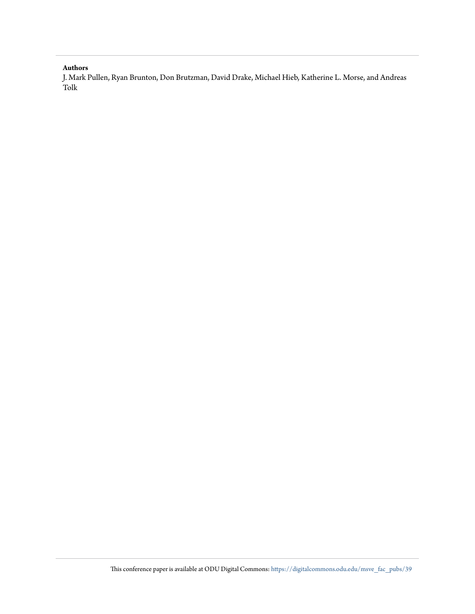#### **Authors**

J. Mark Pullen, Ryan Brunton, Don Brutzman, David Drake, Michael Hieb, Katherine L. Morse, and Andreas Tolk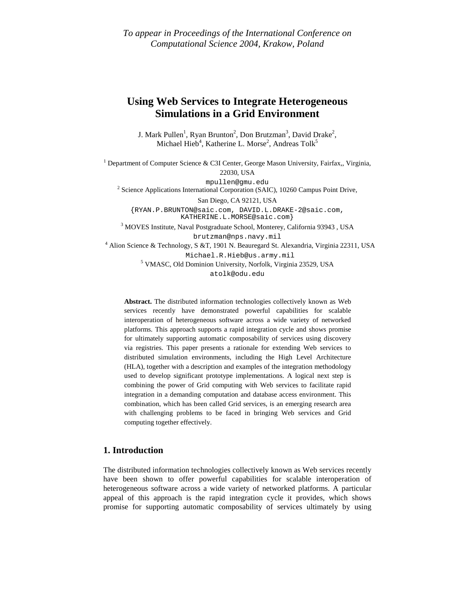## **Using Web Services to Integrate Heterogeneous Simulations in a Grid Environment**

J. Mark Pullen<sup>1</sup>, Ryan Brunton<sup>2</sup>, Don Brutzman<sup>3</sup>, David Drake<sup>2</sup>, Michael Hieb<sup>4</sup>, Katherine L. Morse<sup>2</sup>, Andreas Tolk<sup>5</sup>

<sup>1</sup> Department of Computer Science & C3I Center, George Mason University, Fairfax,, Virginia, 22030, USA mpullen@gmu.edu<br>
<sup>2</sup> Science Applications International Corporation (SAIC), 10260 Campus Point Drive, San Diego, CA 92121, USA {RYAN.P.BRUNTON@saic.com, DAVID.L.DRAKE-2@saic.com, KATHERINE.L.MORSE@saic.com} <sup>3</sup> MOVES Institute, Naval Postgraduate School, Monterey, California 93943, USA brutzman@nps.navy.mil <sup>4</sup> Alion Science & Technology, S &T, 1901 N. Beauregard St. Alexandria, Virginia 22311, USA Michael.R.Hieb@us.army.mil 5 VMASC, Old Dominion University, Norfolk, Virginia 23529, USA

atolk@odu.edu

**Abstract.** The distributed information technologies collectively known as Web services recently have demonstrated powerful capabilities for scalable interoperation of heterogeneous software across a wide variety of networked platforms. This approach supports a rapid integration cycle and shows promise for ultimately supporting automatic composability of services using discovery via registries. This paper presents a rationale for extending Web services to distributed simulation environments, including the High Level Architecture (HLA), together with a description and examples of the integration methodology used to develop significant prototype implementations. A logical next step is combining the power of Grid computing with Web services to facilitate rapid integration in a demanding computation and database access environment. This combination, which has been called Grid services, is an emerging research area with challenging problems to be faced in bringing Web services and Grid computing together effectively.

#### **1. Introduction**

The distributed information technologies collectively known as Web services recently have been shown to offer powerful capabilities for scalable interoperation of heterogeneous software across a wide variety of networked platforms. A particular appeal of this approach is the rapid integration cycle it provides, which shows promise for supporting automatic composability of services ultimately by using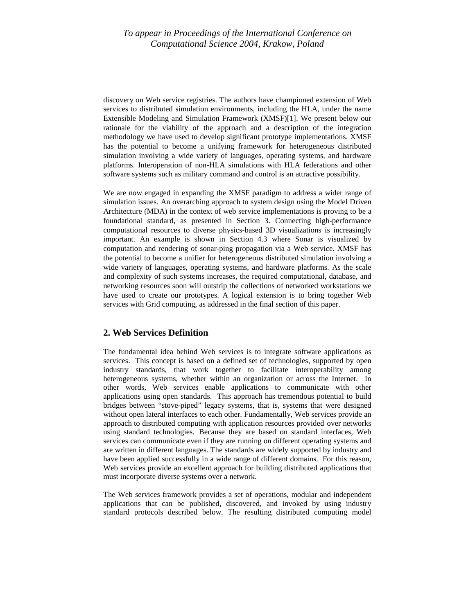discovery on Web service registries. The authors have championed extension of Web services to distributed simulation environments, including the HLA, under the name Extensible Modeling and Simulation Framework (XMSF)[1]. We present below our rationale for the viability of the approach and a description of the integration methodology we have used to develop significant prototype implementations. XMSF has the potential to become a unifying framework for heterogeneous distributed simulation involving a wide variety of languages, operating systems, and hardware platforms. Interoperation of non-HLA simulations with HLA federations and other software systems such as military command and control is an attractive possibility.

We are now engaged in expanding the XMSF paradigm to address a wider range of simulation issues. An overarching approach to system design using the Model Driven Architecture (MDA) in the context of web service implementations is proving to be a foundational standard, as presented in Section 3. Connecting high-performance computational resources to diverse physics-based 3D visualizations is increasingly important. An example is shown in Section 4.3 where Sonar is visualized by computation and rendering of sonar-ping propagation via a Web service. XMSF has the potential to become a unifier for heterogeneous distributed simulation involving a wide variety of languages, operating systems, and hardware platforms. As the scale and complexity of such systems increases, the required computational, database, and networking resources soon will outstrip the collections of networked workstations we have used to create our prototypes. A logical extension is to bring together Web services with Grid computing, as addressed in the final section of this paper.

### **2. Web Services Definition**

The fundamental idea behind Web services is to integrate software applications as services. This concept is based on a defined set of technologies, supported by open industry standards, that work together to facilitate interoperability among heterogeneous systems, whether within an organization or across the Internet. In other words, Web services enable applications to communicate with other applications using open standards. This approach has tremendous potential to build bridges between "stove-piped" legacy systems, that is, systems that were designed without open lateral interfaces to each other. Fundamentally, Web services provide an approach to distributed computing with application resources provided over networks using standard technologies. Because they are based on standard interfaces, Web services can communicate even if they are running on different operating systems and are written in different languages. The standards are widely supported by industry and have been applied successfully in a wide range of different domains. For this reason, Web services provide an excellent approach for building distributed applications that must incorporate diverse systems over a network.

The Web services framework provides a set of operations, modular and independent applications that can be published, discovered, and invoked by using industry standard protocols described below. The resulting distributed computing model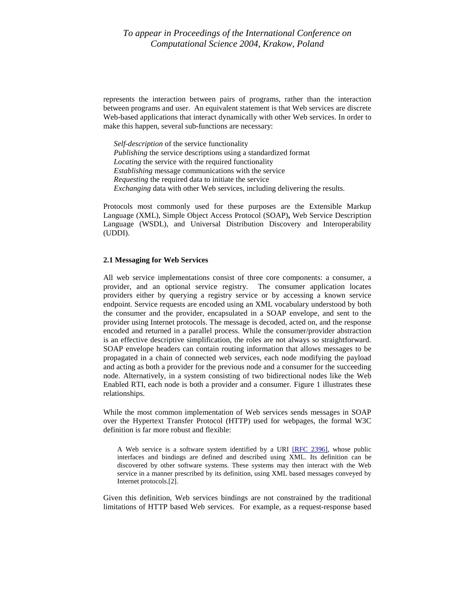represents the interaction between pairs of programs, rather than the interaction between programs and user.An equivalent statement is that Web services are discrete Web-based applications that interact dynamically with other Web services. In order to make this happen, several sub-functions are necessary:

*Self-description* of the service functionality *Publishing* the service descriptions using a standardized format *Locating* the service with the required functionality *Establishing* message communications with the service *Requesting* the required data to initiate the service *Exchanging* data with other Web services, including delivering the results.

Protocols most commonly used for these purposes are the Extensible Markup Language (XML), Simple Object Access Protocol (SOAP)**,** Web Service Description Language (WSDL), and Universal Distribution Discovery and Interoperability (UDDI).

#### **2.1 Messaging for Web Services**

All web service implementations consist of three core components: a consumer, a provider, and an optional service registry. The consumer application locates providers either by querying a registry service or by accessing a known service endpoint. Service requests are encoded using an XML vocabulary understood by both the consumer and the provider, encapsulated in a SOAP envelope, and sent to the provider using Internet protocols. The message is decoded, acted on, and the response encoded and returned in a parallel process. While the consumer/provider abstraction is an effective descriptive simplification, the roles are not always so straightforward. SOAP envelope headers can contain routing information that allows messages to be propagated in a chain of connected web services, each node modifying the payload and acting as both a provider for the previous node and a consumer for the succeeding node. Alternatively, in a system consisting of two bidirectional nodes like the Web Enabled RTI, each node is both a provider and a consumer. Figure 1 illustrates these relationships.

While the most common implementation of Web services sends messages in SOAP over the Hypertext Transfer Protocol (HTTP) used for webpages, the formal W3C definition is far more robust and flexible:

A Web service is a software system identified by a URI [RFC 2396], whose public interfaces and bindings are defined and described using XML. Its definition can be discovered by other software systems. These systems may then interact with the Web service in a manner prescribed by its definition, using XML based messages conveyed by Internet protocols.[2].

Given this definition, Web services bindings are not constrained by the traditional limitations of HTTP based Web services. For example, as a request-response based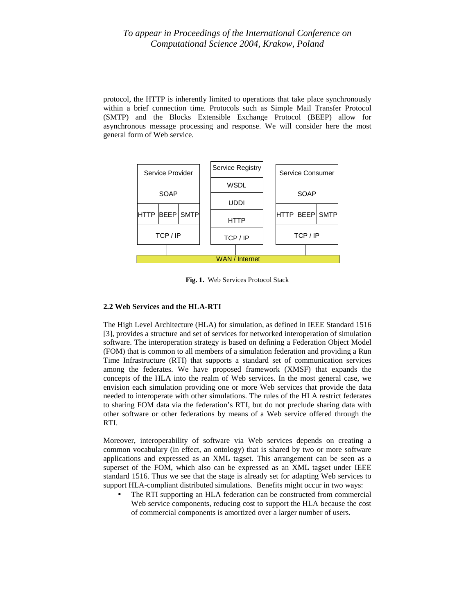protocol, the HTTP is inherently limited to operations that take place synchronously within a brief connection time. Protocols such as Simple Mail Transfer Protocol (SMTP) and the Blocks Extensible Exchange Protocol (BEEP) allow for asynchronous message processing and response. We will consider here the most general form of Web service.



**Fig. 1.** Web Services Protocol Stack

#### **2.2 Web Services and the HLA-RTI**

The High Level Architecture (HLA) for simulation, as defined in IEEE Standard 1516 [3], provides a structure and set of services for networked interoperation of simulation software. The interoperation strategy is based on defining a Federation Object Model (FOM) that is common to all members of a simulation federation and providing a Run Time Infrastructure (RTI) that supports a standard set of communication services among the federates. We have proposed framework (XMSF) that expands the concepts of the HLA into the realm of Web services. In the most general case, we envision each simulation providing one or more Web services that provide the data needed to interoperate with other simulations. The rules of the HLA restrict federates to sharing FOM data via the federation's RTI, but do not preclude sharing data with other software or other federations by means of a Web service offered through the RTI.

Moreover, interoperability of software via Web services depends on creating a common vocabulary (in effect, an ontology) that is shared by two or more software applications and expressed as an XML tagset. This arrangement can be seen as a superset of the FOM, which also can be expressed as an XML tagset under IEEE standard 1516. Thus we see that the stage is already set for adapting Web services to support HLA-compliant distributed simulations. Benefits might occur in two ways:

The RTI supporting an HLA federation can be constructed from commercial Web service components, reducing cost to support the HLA because the cost of commercial components is amortized over a larger number of users.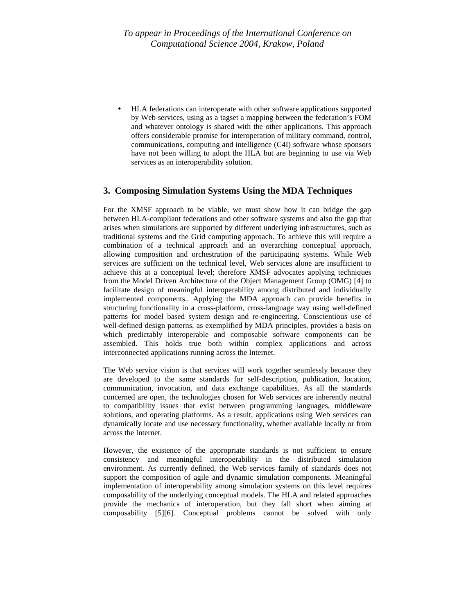• HLA federations can interoperate with other software applications supported by Web services, using as a tagset a mapping between the federation's FOM and whatever ontology is shared with the other applications. This approach offers considerable promise for interoperation of military command, control, communications, computing and intelligence (C4I) software whose sponsors have not been willing to adopt the HLA but are beginning to use via Web services as an interoperability solution.

## **3. Composing Simulation Systems Using the MDA Techniques**

For the XMSF approach to be viable, we must show how it can bridge the gap between HLA-compliant federations and other software systems and also the gap that arises when simulations are supported by different underlying infrastructures, such as traditional systems and the Grid computing approach. To achieve this will require a combination of a technical approach and an overarching conceptual approach, allowing composition and orchestration of the participating systems. While Web services are sufficient on the technical level, Web services alone are insufficient to achieve this at a conceptual level; therefore XMSF advocates applying techniques from the Model Driven Architecture of the Object Management Group (OMG) [4] to facilitate design of meaningful interoperability among distributed and individually implemented components.. Applying the MDA approach can provide benefits in structuring functionality in a cross-platform, cross-language way using well-defined patterns for model based system design and re-engineering. Conscientious use of well-defined design patterns, as exemplified by MDA principles, provides a basis on which predictably interoperable and composable software components can be assembled. This holds true both within complex applications and across interconnected applications running across the Internet.

The Web service vision is that services will work together seamlessly because they are developed to the same standards for self-description, publication, location, communication, invocation, and data exchange capabilities. As all the standards concerned are open, the technologies chosen for Web services are inherently neutral to compatibility issues that exist between programming languages, middleware solutions, and operating platforms. As a result, applications using Web services can dynamically locate and use necessary functionality, whether available locally or from across the Internet.

However, the existence of the appropriate standards is not sufficient to ensure consistency and meaningful interoperability in the distributed simulation environment. As currently defined, the Web services family of standards does not support the composition of agile and dynamic simulation components. Meaningful implementation of interoperability among simulation systems on this level requires composability of the underlying conceptual models. The HLA and related approaches provide the mechanics of interoperation, but they fall short when aiming at composability [5][6]. Conceptual problems cannot be solved with only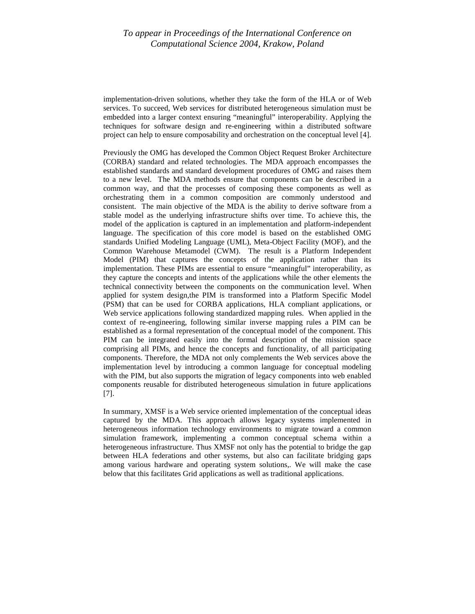implementation-driven solutions, whether they take the form of the HLA or of Web services. To succeed, Web services for distributed heterogeneous simulation must be embedded into a larger context ensuring "meaningful" interoperability. Applying the techniques for software design and re-engineering within a distributed software project can help to ensure composability and orchestration on the conceptual level [4].

Previously the OMG has developed the Common Object Request Broker Architecture (CORBA) standard and related technologies. The MDA approach encompasses the established standards and standard development procedures of OMG and raises them to a new level. The MDA methods ensure that components can be described in a common way, and that the processes of composing these components as well as orchestrating them in a common composition are commonly understood and consistent. The main objective of the MDA is the ability to derive software from a stable model as the underlying infrastructure shifts over time. To achieve this, the model of the application is captured in an implementation and platform-independent language. The specification of this core model is based on the established OMG standards Unified Modeling Language (UML), Meta-Object Facility (MOF), and the Common Warehouse Metamodel (CWM). The result is a Platform Independent Model (PIM) that captures the concepts of the application rather than its implementation. These PIMs are essential to ensure "meaningful" interoperability, as they capture the concepts and intents of the applications while the other elements the technical connectivity between the components on the communication level. When applied for system design,the PIM is transformed into a Platform Specific Model (PSM) that can be used for CORBA applications, HLA compliant applications, or Web service applications following standardized mapping rules. When applied in the context of re-engineering, following similar inverse mapping rules a PIM can be established as a formal representation of the conceptual model of the component. This PIM can be integrated easily into the formal description of the mission space comprising all PIMs, and hence the concepts and functionality, of all participating components. Therefore, the MDA not only complements the Web services above the implementation level by introducing a common language for conceptual modeling with the PIM, but also supports the migration of legacy components into web enabled components reusable for distributed heterogeneous simulation in future applications [7].

In summary, XMSF is a Web service oriented implementation of the conceptual ideas captured by the MDA. This approach allows legacy systems implemented in heterogeneous information technology environments to migrate toward a common simulation framework, implementing a common conceptual schema within a heterogeneous infrastructure. Thus XMSF not only has the potential to bridge the gap between HLA federations and other systems, but also can facilitate bridging gaps among various hardware and operating system solutions,. We will make the case below that this facilitates Grid applications as well as traditional applications.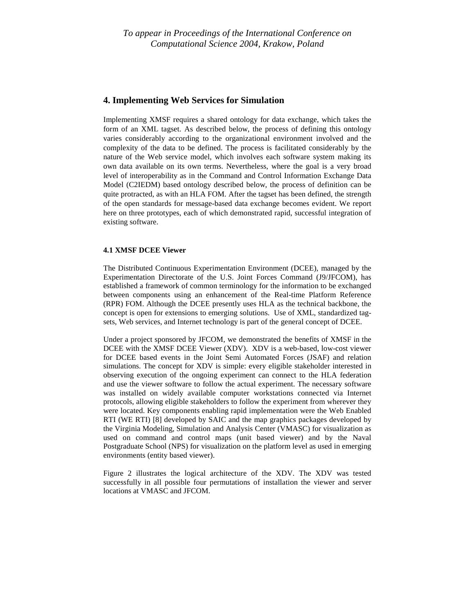#### **4. Implementing Web Services for Simulation**

Implementing XMSF requires a shared ontology for data exchange, which takes the form of an XML tagset. As described below, the process of defining this ontology varies considerably according to the organizational environment involved and the complexity of the data to be defined. The process is facilitated considerably by the nature of the Web service model, which involves each software system making its own data available on its own terms. Nevertheless, where the goal is a very broad level of interoperability as in the Command and Control Information Exchange Data Model (C2IEDM) based ontology described below, the process of definition can be quite protracted, as with an HLA FOM. After the tagset has been defined, the strength of the open standards for message-based data exchange becomes evident. We report here on three prototypes, each of which demonstrated rapid, successful integration of existing software.

#### **4.1 XMSF DCEE Viewer**

The Distributed Continuous Experimentation Environment (DCEE), managed by the Experimentation Directorate of the U.S. Joint Forces Command (J9/JFCOM), has established a framework of common terminology for the information to be exchanged between components using an enhancement of the Real-time Platform Reference (RPR) FOM. Although the DCEE presently uses HLA as the technical backbone, the concept is open for extensions to emerging solutions. Use of XML, standardized tagsets, Web services, and Internet technology is part of the general concept of DCEE.

Under a project sponsored by JFCOM, we demonstrated the benefits of XMSF in the DCEE with the XMSF DCEE Viewer (XDV). XDV is a web-based, low-cost viewer for DCEE based events in the Joint Semi Automated Forces (JSAF) and relation simulations. The concept for XDV is simple: every eligible stakeholder interested in observing execution of the ongoing experiment can connect to the HLA federation and use the viewer software to follow the actual experiment. The necessary software was installed on widely available computer workstations connected via Internet protocols, allowing eligible stakeholders to follow the experiment from wherever they were located. Key components enabling rapid implementation were the Web Enabled RTI (WE RTI) [8] developed by SAIC and the map graphics packages developed by the Virginia Modeling, Simulation and Analysis Center (VMASC) for visualization as used on command and control maps (unit based viewer) and by the Naval Postgraduate School (NPS) for visualization on the platform level as used in emerging environments (entity based viewer).

Figure 2 illustrates the logical architecture of the XDV. The XDV was tested successfully in all possible four permutations of installation the viewer and server locations at VMASC and JFCOM.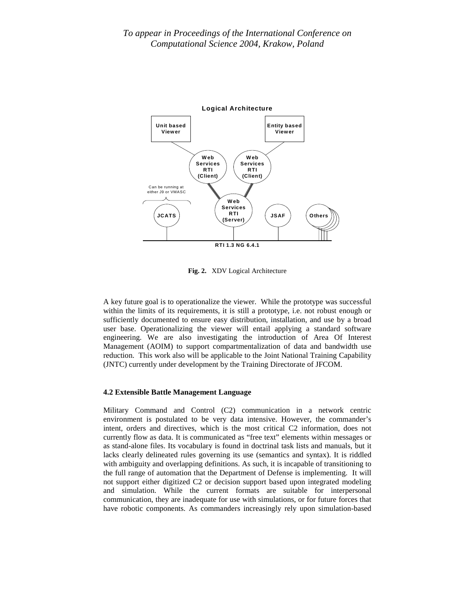

**Fig. 2.** XDV Logical Architecture

A key future goal is to operationalize the viewer. While the prototype was successful within the limits of its requirements, it is still a prototype, i.e. not robust enough or sufficiently documented to ensure easy distribution, installation, and use by a broad user base. Operationalizing the viewer will entail applying a standard software engineering. We are also investigating the introduction of Area Of Interest Management (AOIM) to support compartmentalization of data and bandwidth use reduction. This work also will be applicable to the Joint National Training Capability (JNTC) currently under development by the Training Directorate of JFCOM.

#### **4.2 Extensible Battle Management Language**

Military Command and Control (C2) communication in a network centric environment is postulated to be very data intensive. However, the commander's intent, orders and directives, which is the most critical C2 information, does not currently flow as data. It is communicated as "free text" elements within messages or as stand-alone files. Its vocabulary is found in doctrinal task lists and manuals, but it lacks clearly delineated rules governing its use (semantics and syntax). It is riddled with ambiguity and overlapping definitions. As such, it is incapable of transitioning to the full range of automation that the Department of Defense is implementing. It will not support either digitized C2 or decision support based upon integrated modeling and simulation. While the current formats are suitable for interpersonal communication, they are inadequate for use with simulations, or for future forces that have robotic components. As commanders increasingly rely upon simulation-based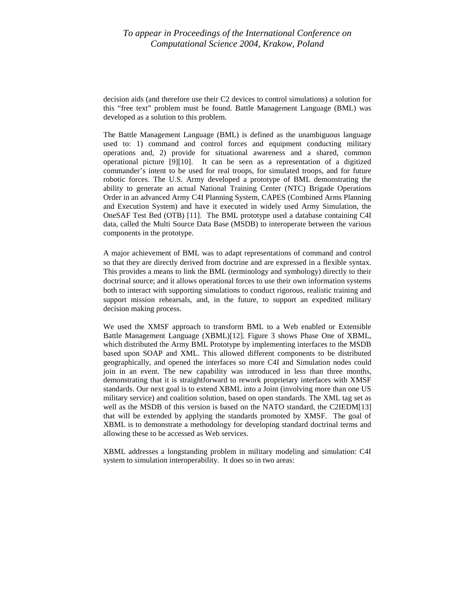decision aids (and therefore use their C2 devices to control simulations) a solution for this "free text" problem must be found. Battle Management Language (BML) was developed as a solution to this problem.

The Battle Management Language (BML) is defined as the unambiguous language used to: 1) command and control forces and equipment conducting military operations and, 2) provide for situational awareness and a shared, common operational picture [9][10]. It can be seen as a representation of a digitized commander's intent to be used for real troops, for simulated troops, and for future robotic forces. The U.S. Army developed a prototype of BML demonstrating the ability to generate an actual National Training Center (NTC) Brigade Operations Order in an advanced Army C4I Planning System, CAPES (Combined Arms Planning and Execution System) and have it executed in widely used Army Simulation, the OneSAF Test Bed (OTB) [11]. The BML prototype used a database containing C4I data, called the Multi Source Data Base (MSDB) to interoperate between the various components in the prototype.

A major achievement of BML was to adapt representations of command and control so that they are directly derived from doctrine and are expressed in a flexible syntax. This provides a means to link the BML (terminology and symbology) directly to their doctrinal source; and it allows operational forces to use their own information systems both to interact with supporting simulations to conduct rigorous, realistic training and support mission rehearsals, and, in the future, to support an expedited military decision making process.

We used the XMSF approach to transform BML to a Web enabled or Extensible Battle Management Language (XBML)[12]. Figure 3 shows Phase One of XBML, which distributed the Army BML Prototype by implementing interfaces to the MSDB based upon SOAP and XML. This allowed different components to be distributed geographically, and opened the interfaces so more C4I and Simulation nodes could join in an event. The new capability was introduced in less than three months, demonstrating that it is straightforward to rework proprietary interfaces with XMSF standards. Our next goal is to extend XBML into a Joint (involving more than one US military service) and coalition solution, based on open standards. The XML tag set as well as the MSDB of this version is based on the NATO standard, the C2IEDM[13] that will be extended by applying the standards promoted by XMSF. The goal of XBML is to demonstrate a methodology for developing standard doctrinal terms and allowing these to be accessed as Web services.

XBML addresses a longstanding problem in military modeling and simulation: C4I system to simulation interoperability. It does so in two areas: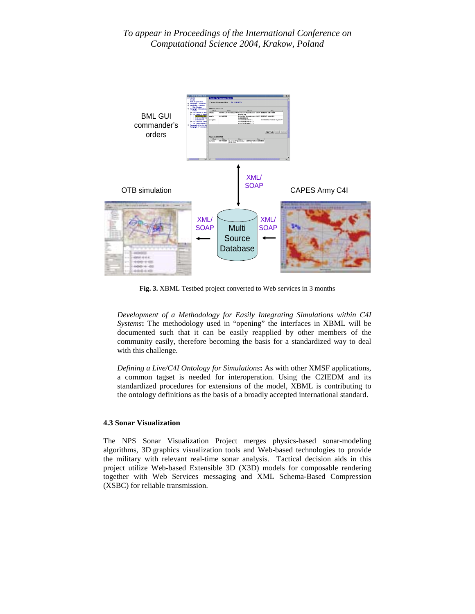

**Fig. 3.** XBML Testbed project converted to Web services in 3 months

*Development of a Methodology for Easily Integrating Simulations within C4I Systems***:** The methodology used in "opening" the interfaces in XBML will be documented such that it can be easily reapplied by other members of the community easily, therefore becoming the basis for a standardized way to deal with this challenge.

*Defining a Live/C4I Ontology for Simulations***:** As with other XMSF applications, a common tagset is needed for interoperation. Using the C2IEDM and its standardized procedures for extensions of the model, XBML is contributing to the ontology definitions as the basis of a broadly accepted international standard.

#### **4.3 Sonar Visualization**

The NPS Sonar Visualization Project merges physics-based sonar-modeling algorithms, 3D graphics visualization tools and Web-based technologies to provide the military with relevant real-time sonar analysis. Tactical decision aids in this project utilize Web-based Extensible 3D (X3D) models for composable rendering together with Web Services messaging and XML Schema-Based Compression (XSBC) for reliable transmission.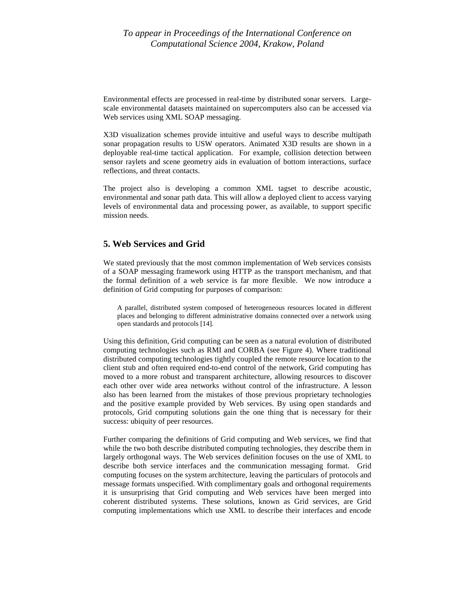Environmental effects are processed in real-time by distributed sonar servers. Largescale environmental datasets maintained on supercomputers also can be accessed via Web services using XML SOAP messaging.

X3D visualization schemes provide intuitive and useful ways to describe multipath sonar propagation results to USW operators. Animated X3D results are shown in a deployable real-time tactical application. For example, collision detection between sensor raylets and scene geometry aids in evaluation of bottom interactions, surface reflections, and threat contacts.

The project also is developing a common XML tagset to describe acoustic, environmental and sonar path data. This will allow a deployed client to access varying levels of environmental data and processing power, as available, to support specific mission needs.

#### **5. Web Services and Grid**

We stated previously that the most common implementation of Web services consists of a SOAP messaging framework using HTTP as the transport mechanism, and that the formal definition of a web service is far more flexible. We now introduce a definition of Grid computing for purposes of comparison:

A parallel, distributed system composed of heterogeneous resources located in different places and belonging to different administrative domains connected over a network using open standards and protocols [14].

Using this definition, Grid computing can be seen as a natural evolution of distributed computing technologies such as RMI and CORBA (see Figure 4). Where traditional distributed computing technologies tightly coupled the remote resource location to the client stub and often required end-to-end control of the network, Grid computing has moved to a more robust and transparent architecture, allowing resources to discover each other over wide area networks without control of the infrastructure. A lesson also has been learned from the mistakes of those previous proprietary technologies and the positive example provided by Web services. By using open standards and protocols, Grid computing solutions gain the one thing that is necessary for their success: ubiquity of peer resources.

Further comparing the definitions of Grid computing and Web services, we find that while the two both describe distributed computing technologies, they describe them in largely orthogonal ways. The Web services definition focuses on the use of XML to describe both service interfaces and the communication messaging format. Grid computing focuses on the system architecture, leaving the particulars of protocols and message formats unspecified. With complimentary goals and orthogonal requirements it is unsurprising that Grid computing and Web services have been merged into coherent distributed systems. These solutions, known as Grid services, are Grid computing implementations which use XML to describe their interfaces and encode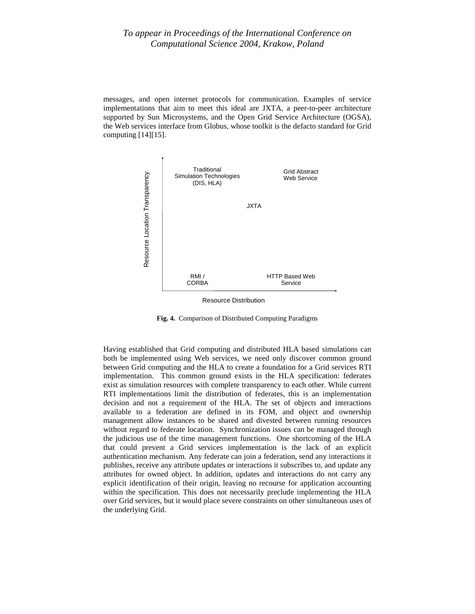messages, and open internet protocols for communication. Examples of service implementations that aim to meet this ideal are JXTA, a peer-to-peer architecture supported by Sun Microsystems, and the Open Grid Service Architecture (OGSA), the Web services interface from Globus, whose toolkit is the defacto standard for Grid computing  $[14][15]$ .



Resource Distribution

**Fig. 4.** Comparison of Distributed Computing Paradigms

Having established that Grid computing and distributed HLA based simulations can both be implemented using Web services, we need only discover common ground between Grid computing and the HLA to create a foundation for a Grid services RTI implementation. This common ground exists in the HLA specification: federates exist as simulation resources with complete transparency to each other. While current RTI implementations limit the distribution of federates, this is an implementation decision and not a requirement of the HLA. The set of objects and interactions available to a federation are defined in its FOM, and object and ownership management allow instances to be shared and divested between running resources without regard to federate location. Synchronization issues can be managed through the judicious use of the time management functions. One shortcoming of the HLA that could prevent a Grid services implementation is the lack of an explicit authentication mechanism. Any federate can join a federation, send any interactions it publishes, receive any attribute updates or interactions it subscribes to, and update any attributes for owned object. In addition, updates and interactions do not carry any explicit identification of their origin, leaving no recourse for application accounting within the specification. This does not necessarily preclude implementing the HLA over Grid services, but it would place severe constraints on other simultaneous uses of the underlying Grid.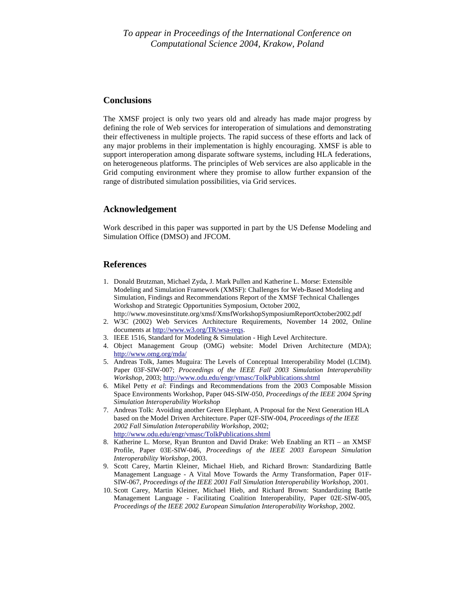#### **Conclusions**

The XMSF project is only two years old and already has made major progress by defining the role of Web services for interoperation of simulations and demonstrating their effectiveness in multiple projects. The rapid success of these efforts and lack of any major problems in their implementation is highly encouraging. XMSF is able to support interoperation among disparate software systems, including HLA federations, on heterogeneous platforms. The principles of Web services are also applicable in the Grid computing environment where they promise to allow further expansion of the range of distributed simulation possibilities, via Grid services.

#### **Acknowledgement**

Work described in this paper was supported in part by the US Defense Modeling and Simulation Office (DMSO) and JFCOM.

#### **References**

- 1. Donald Brutzman, Michael Zyda, J. Mark Pullen and Katherine L. Morse: Extensible Modeling and Simulation Framework (XMSF): Challenges for Web-Based Modeling and Simulation, Findings and Recommendations Report of the XMSF Technical Challenges Workshop and Strategic Opportunities Symposium, October 2002,
- http://www.movesinstitute.org/xmsf/XmsfWorkshopSymposiumReportOctober2002.pdf
- 2. W3C (2002) Web Services Architecture Requirements, November 14 2002, Online documents at http://www.w3.org/TR/wsa-reqs.
- 3. IEEE 1516, Standard for Modeling & Simulation High Level Architecture.
- 4. Object Management Group (OMG) website: Model Driven Architecture (MDA); http://www.omg.org/mda/
- 5. Andreas Tolk, James Muguira: The Levels of Conceptual Interoperability Model (LCIM). Paper 03F-SIW-007; *Proceedings of the IEEE Fall 2003 Simulation Interoperability Workshop*, 2003; http://www.odu.edu/engr/vmasc/TolkPublications.shtml
- 6. Mikel Petty *et al*: Findings and Recommendations from the 2003 Composable Mission Space Environments Workshop, Paper 04S-SIW-050, *Proceedings of the IEEE 2004 Spring Simulation Interoperability Workshop*
- 7. Andreas Tolk: Avoiding another Green Elephant, A Proposal for the Next Generation HLA based on the Model Driven Architecture. Paper 02F-SIW-004, *Proceedings of the IEEE 2002 Fall Simulation Interoperability Workshop*, 2002; http://www.odu.edu/engr/vmasc/TolkPublications.shtml
- 8. Katherine L. Morse, Ryan Brunton and David Drake: Web Enabling an RTI an XMSF Profile, Paper 03E-SIW-046, *Proceedings of the IEEE 2003 European Simulation Interoperability Workshop*, 2003.
- 9. Scott Carey, Martin Kleiner, Michael Hieb, and Richard Brown: Standardizing Battle Management Language - A Vital Move Towards the Army Transformation, Paper 01F-SIW-067, *Proceedings of the IEEE 2001 Fall Simulation Interoperability Workshop*, 2001.
- 10. Scott Carey, Martin Kleiner, Michael Hieb, and Richard Brown: Standardizing Battle Management Language - Facilitating Coalition Interoperability, Paper 02E-SIW-005, *Proceedings of the IEEE 2002 European Simulation Interoperability Workshop*, 2002.